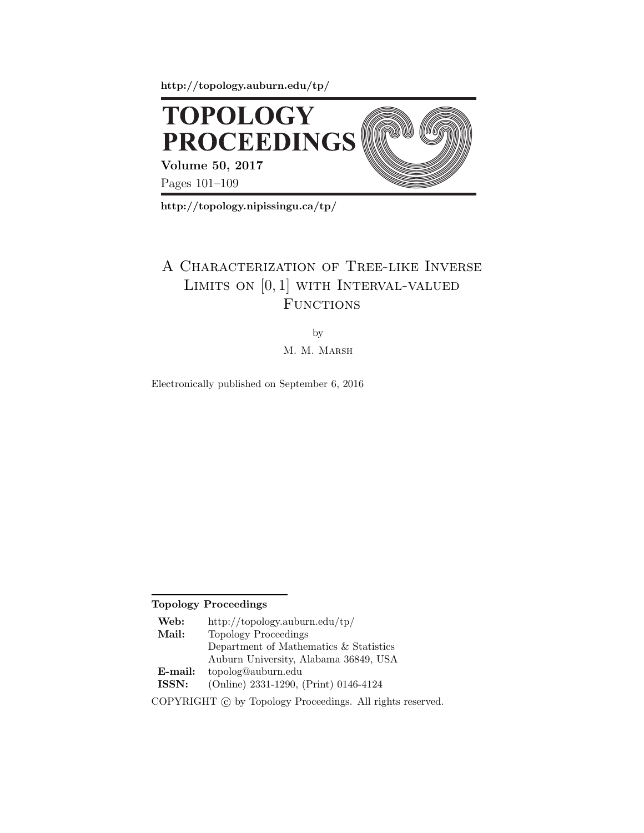**http://topology.auburn.edu/tp/**



**http://topology.nipissingu.ca/tp/**

## A Characterization of Tree-like Inverse LIMITS ON  $[0,1]$  WITH INTERVAL-VALUED **FUNCTIONS**

by

M. M. MARSH

Electronically published on September 6, 2016

**Topology Proceedings**

| Web:                                                        | http://topology.auburn.edu/tp/         |
|-------------------------------------------------------------|----------------------------------------|
| Mail:                                                       | Topology Proceedings                   |
|                                                             | Department of Mathematics & Statistics |
|                                                             | Auburn University, Alabama 36849, USA  |
| $E$ -mail:                                                  | topolog@auburn.edu                     |
| ISSN:                                                       | (Online) 2331-1290, (Print) 0146-4124  |
| COPYRIGHT (c) by Topology Proceedings. All rights reserved. |                                        |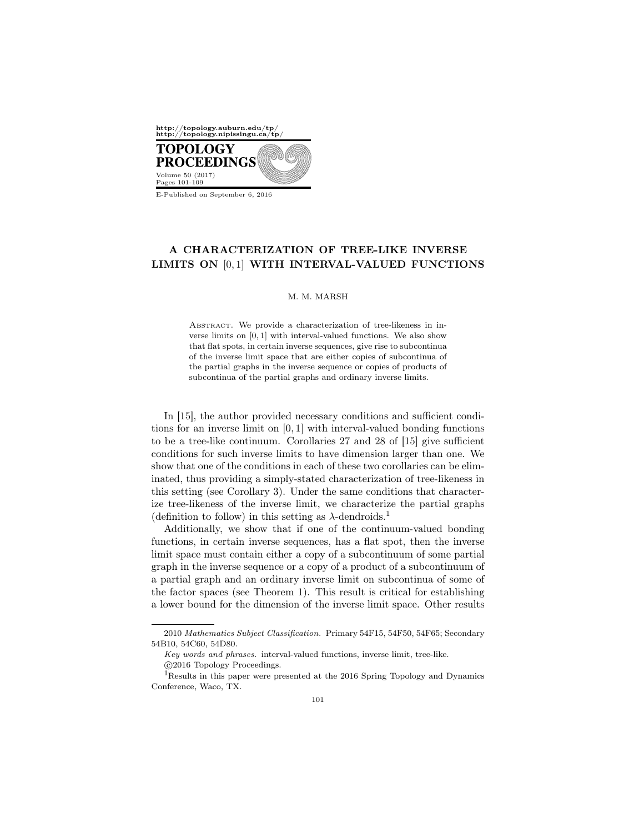

E-Published on September 6, 2016

## A CHARACTERIZATION OF TREE-LIKE INVERSE LIMITS ON [0, 1] WITH INTERVAL-VALUED FUNCTIONS

## M. M. MARSH

ABSTRACT. We provide a characterization of tree-likeness in inverse limits on [0, 1] with interval-valued functions. We also show that flat spots, in certain inverse sequences, give rise to subcontinua of the inverse limit space that are either copies of subcontinua of the partial graphs in the inverse sequence or copies of products of subcontinua of the partial graphs and ordinary inverse limits.

In [15], the author provided necessary conditions and sufficient conditions for an inverse limit on  $[0, 1]$  with interval-valued bonding functions to be a tree-like continuum. Corollaries 27 and 28 of [15] give sufficient conditions for such inverse limits to have dimension larger than one. We show that one of the conditions in each of these two corollaries can be eliminated, thus providing a simply-stated characterization of tree-likeness in this setting (see Corollary 3). Under the same conditions that characterize tree-likeness of the inverse limit, we characterize the partial graphs (definition to follow) in this setting as  $\lambda$ -dendroids.<sup>1</sup>

Additionally, we show that if one of the continuum-valued bonding functions, in certain inverse sequences, has a flat spot, then the inverse limit space must contain either a copy of a subcontinuum of some partial graph in the inverse sequence or a copy of a product of a subcontinuum of a partial graph and an ordinary inverse limit on subcontinua of some of the factor spaces (see Theorem 1). This result is critical for establishing a lower bound for the dimension of the inverse limit space. Other results

<sup>2010</sup> Mathematics Subject Classification. Primary 54F15, 54F50, 54F65; Secondary 54B10, 54C60, 54D80.

Key words and phrases. interval-valued functions, inverse limit, tree-like.

c 2016 Topology Proceedings.

 $^1\!$  Results in this paper were presented at the 2016 Spring Topology and Dynamics Conference, Waco, TX.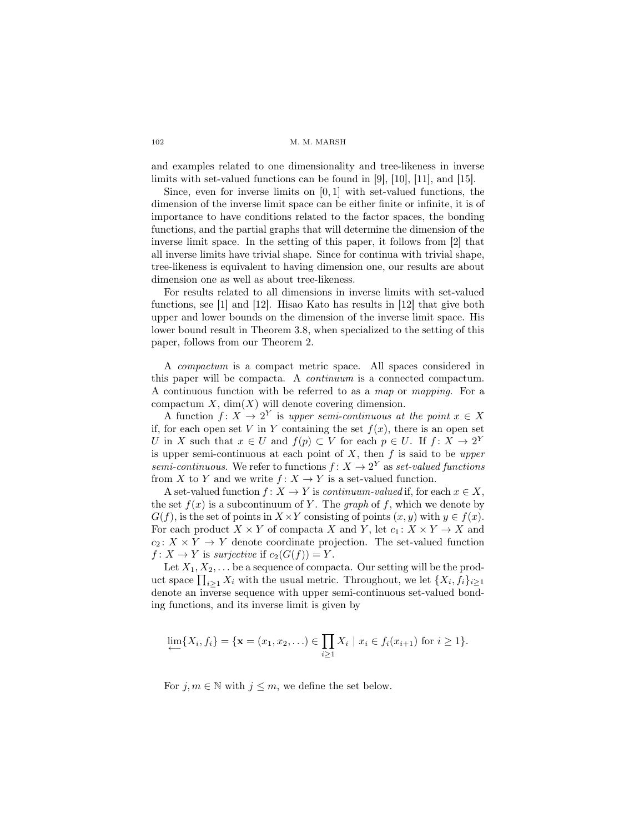and examples related to one dimensionality and tree-likeness in inverse limits with set-valued functions can be found in [9], [10], [11], and [15].

Since, even for inverse limits on  $[0, 1]$  with set-valued functions, the dimension of the inverse limit space can be either finite or infinite, it is of importance to have conditions related to the factor spaces, the bonding functions, and the partial graphs that will determine the dimension of the inverse limit space. In the setting of this paper, it follows from [2] that all inverse limits have trivial shape. Since for continua with trivial shape, tree-likeness is equivalent to having dimension one, our results are about dimension one as well as about tree-likeness.

For results related to all dimensions in inverse limits with set-valued functions, see [1] and [12]. Hisao Kato has results in [12] that give both upper and lower bounds on the dimension of the inverse limit space. His lower bound result in Theorem 3.8, when specialized to the setting of this paper, follows from our Theorem 2.

A compactum is a compact metric space. All spaces considered in this paper will be compacta. A continuum is a connected compactum. A continuous function with be referred to as a map or mapping. For a compactum  $X$ , dim $(X)$  will denote covering dimension.

A function  $f: X \to 2^Y$  is upper semi-continuous at the point  $x \in X$ if, for each open set V in Y containing the set  $f(x)$ , there is an open set U in X such that  $x \in U$  and  $f(p) \subset V$  for each  $p \in U$ . If  $f: X \to 2^Y$ is upper semi-continuous at each point of  $X$ , then  $f$  is said to be upper semi-continuous. We refer to functions  $f: X \to 2^Y$  as set-valued functions from X to Y and we write  $f: X \to Y$  is a set-valued function.

A set-valued function  $f: X \to Y$  is *continuum-valued* if, for each  $x \in X$ , the set  $f(x)$  is a subcontinuum of Y. The graph of f, which we denote by  $G(f)$ , is the set of points in  $X \times Y$  consisting of points  $(x, y)$  with  $y \in f(x)$ . For each product  $X \times Y$  of compacta X and Y, let  $c_1: X \times Y \to X$  and  $c_2: X \times Y \to Y$  denote coordinate projection. The set-valued function  $f: X \to Y$  is surjective if  $c_2(G(f)) = Y$ .

Let  $X_1, X_2, \ldots$  be a sequence of compacta. Our setting will be the product space  $\prod_{i\geq 1} X_i$  with the usual metric. Throughout, we let  $\{X_i, f_i\}_{i\geq 1}$ denote an inverse sequence with upper semi-continuous set-valued bonding functions, and its inverse limit is given by

$$
\lim_{i \to \infty} \{X_i, f_i\} = \{ \mathbf{x} = (x_1, x_2, \ldots) \in \prod_{i \ge 1} X_i \mid x_i \in f_i(x_{i+1}) \text{ for } i \ge 1 \}.
$$

For  $j, m \in \mathbb{N}$  with  $j \leq m$ , we define the set below.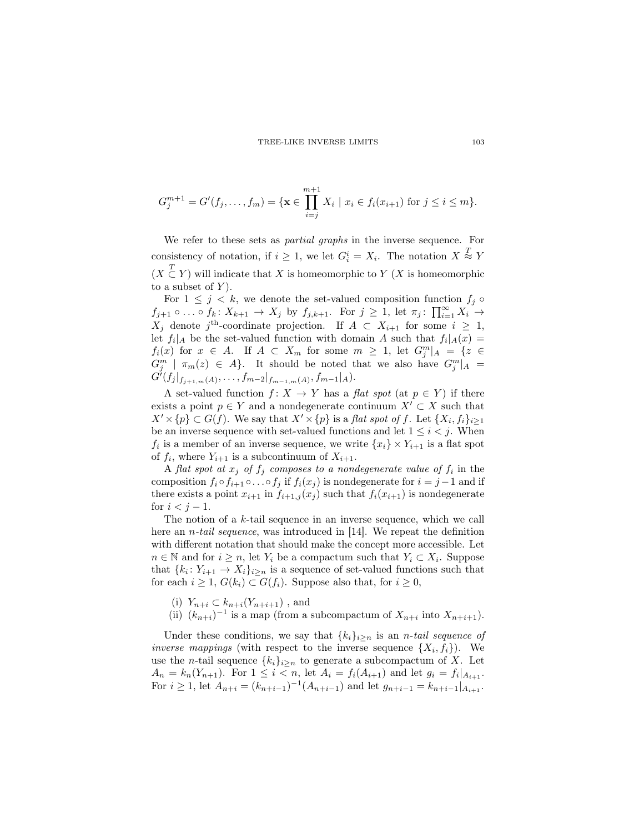$$
G_j^{m+1} = G'(f_j, \dots, f_m) = \{ \mathbf{x} \in \prod_{i=j}^{m+1} X_i \mid x_i \in f_i(x_{i+1}) \text{ for } j \leq i \leq m \}.
$$

We refer to these sets as partial graphs in the inverse sequence. For consistency of notation, if  $i \geq 1$ , we let  $G_i^i = X_i$ . The notation  $X \stackrel{T}{\approx} Y$  $(X \n\t\subset Y)$  will indicate that X is homeomorphic to Y  $(X$  is homeomorphic to a subset of  $Y$ ).

For  $1 \leq j \leq k$ , we denote the set-valued composition function  $f_j \circ$  $f_{j+1} \circ \ldots \circ f_k \colon X_{k+1} \to X_j$  by  $f_{j,k+1}$ . For  $j \geq 1$ , let  $\pi_j \colon \prod_{i=1}^{\infty} X_i \to$  $X_j$  denote j<sup>th</sup>-coordinate projection. If  $A \subset X_{i+1}$  for some  $i \geq 1$ , let  $f_i|_A$  be the set-valued function with domain A such that  $f_i|_A(x) =$  $f_i(x)$  for  $x \in A$ . If  $A \subset X_m$  for some  $m \geq 1$ , let  $G_j^m|_A = \{z \in$  $G_j^m$  |  $\pi_m(z) \in A$ . It should be noted that we also have  $G_j^m|_A =$  $\tilde{G}^j(f_j|_{f_{j+1,m}(A)},\ldots,f_{m-2}|_{f_{m-1,m}(A)},f_{m-1}|_A).$ 

A set-valued function  $f: X \to Y$  has a flat spot (at  $p \in Y$ ) if there exists a point  $p \in Y$  and a nondegenerate continuum  $X' \subset X$  such that  $X' \times \{p\} \subset G(f)$ . We say that  $X' \times \{p\}$  is a flat spot of f. Let  $\{X_i, f_i\}_{i \geq 1}$ be an inverse sequence with set-valued functions and let  $1 \leq i \leq j$ . When  $f_i$  is a member of an inverse sequence, we write  $\{x_i\} \times Y_{i+1}$  is a flat spot of  $f_i$ , where  $Y_{i+1}$  is a subcontinuum of  $X_{i+1}$ .

A flat spot at  $x_j$  of  $f_j$  composes to a nondegenerate value of  $f_i$  in the composition  $f_i \circ f_{i+1} \circ \ldots \circ f_j$  if  $f_i(x_j)$  is nondegenerate for  $i = j - 1$  and if there exists a point  $x_{i+1}$  in  $f_{i+1,j}(x_j)$  such that  $f_i(x_{i+1})$  is nondegenerate for  $i < j - 1$ .

The notion of a k-tail sequence in an inverse sequence, which we call here an *n-tail sequence*, was introduced in  $[14]$ . We repeat the definition with different notation that should make the concept more accessible. Let  $n \in \mathbb{N}$  and for  $i \geq n$ , let  $Y_i$  be a compactum such that  $Y_i \subset X_i$ . Suppose that  $\{k_i: Y_{i+1} \to X_i\}_{i \geq n}$  is a sequence of set-valued functions such that for each  $i \geq 1$ ,  $G(k_i) \subset G(f_i)$ . Suppose also that, for  $i \geq 0$ ,

- (i)  $Y_{n+i} \subset k_{n+i}(Y_{n+i+1})$ , and
- (ii)  $(k_{n+i})^{-1}$  is a map (from a subcompactum of  $X_{n+i}$  into  $X_{n+i+1}$ ).

Under these conditions, we say that  ${k_i}_{i\geq n}$  is an *n-tail sequence of* inverse mappings (with respect to the inverse sequence  $\{X_i, f_i\}$ ). We use the *n*-tail sequence  ${k_i}_{i\geq n}$  to generate a subcompactum of X. Let  $A_n = k_n(Y_{n+1})$ . For  $1 \leq i < n$ , let  $A_i = f_i(A_{i+1})$  and let  $g_i = f_i|_{A_{i+1}}$ . For *i* ≥ 1, let  $A_{n+i} = (k_{n+i-1})^{-1}(A_{n+i-1})$  and let  $g_{n+i-1} = k_{n+i-1}|_{A_{i+1}}$ .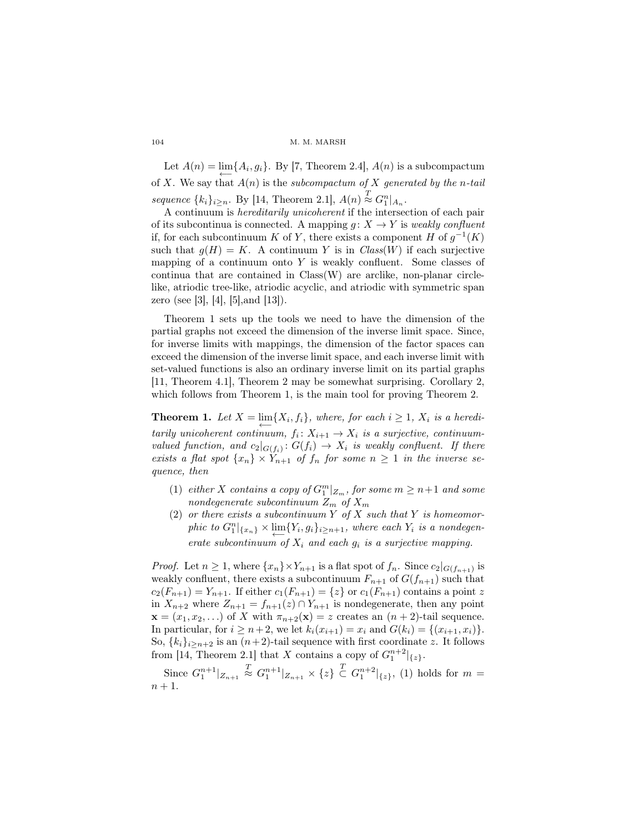Let  $A(n) = \lim_{n \to \infty} \{A_i, g_i\}$ . By [7, Theorem 2.4],  $A(n)$  is a subcompactum of X. We say that  $A(n)$  is the subcompactum of X generated by the n-tail sequence  $\{k_i\}_{i\geq n}$ . By [14, Theorem 2.1],  $A(n) \stackrel{T}{\approx} G_1^n|_{A_n}$ .

A continuum is hereditarily unicoherent if the intersection of each pair of its subcontinua is connected. A mapping  $g: X \to Y$  is weakly confluent if, for each subcontinuum K of Y, there exists a component H of  $g^{-1}(K)$ such that  $g(H) = K$ . A continuum Y is in  $Class(W)$  if each surjective mapping of a continuum onto  $Y$  is weakly confluent. Some classes of continua that are contained in Class(W) are arclike, non-planar circlelike, atriodic tree-like, atriodic acyclic, and atriodic with symmetric span zero (see [3], [4], [5],and [13]).

Theorem 1 sets up the tools we need to have the dimension of the partial graphs not exceed the dimension of the inverse limit space. Since, for inverse limits with mappings, the dimension of the factor spaces can exceed the dimension of the inverse limit space, and each inverse limit with set-valued functions is also an ordinary inverse limit on its partial graphs [11, Theorem 4.1], Theorem 2 may be somewhat surprising. Corollary 2, which follows from Theorem 1, is the main tool for proving Theorem 2.

**Theorem 1.** Let  $X = \lim_{n \to \infty} \{X_i, f_i\}$ , where, for each  $i \geq 1$ ,  $X_i$  is a hereditarily unicoherent continuum,  $f_i: X_{i+1} \to X_i$  is a surjective, continuumvalued function, and  $c_2|_{G(f_i)}: G(f_i) \to X_i$  is weakly confluent. If there exists a flat spot  $\{x_n\} \times Y_{n+1}$  of  $f_n$  for some  $n \geq 1$  in the inverse sequence, then

- (1) either X contains a copy of  $G_1^m|_{Z_m}$ , for some  $m \geq n+1$  and some nondegenerate subcontinuum  $Z_m$  of  $X_m$
- (2) or there exists a subcontinuum Y of X such that Y is homeomorphic to  $G_1^n|_{\{x_n\}} \times \lim_{\longleftarrow} \{Y_i, g_i\}_{i \geq n+1}$ , where each  $Y_i$  is a nondegenerate subcontinuum of  $X_i$  and each  $g_i$  is a surjective mapping.

*Proof.* Let  $n \geq 1$ , where  $\{x_n\} \times Y_{n+1}$  is a flat spot of  $f_n$ . Since  $c_2|_{G(f_{n+1})}$  is weakly confluent, there exists a subcontinuum  $F_{n+1}$  of  $G(f_{n+1})$  such that  $c_2(F_{n+1}) = Y_{n+1}$ . If either  $c_1(F_{n+1}) = \{z\}$  or  $c_1(F_{n+1})$  contains a point z in  $X_{n+2}$  where  $Z_{n+1} = f_{n+1}(z) \cap Y_{n+1}$  is nondegenerate, then any point  $\mathbf{x} = (x_1, x_2, \ldots)$  of X with  $\pi_{n+2}(\mathbf{x}) = z$  creates an  $(n+2)$ -tail sequence. In particular, for  $i \ge n+2$ , we let  $k_i(x_{i+1}) = x_i$  and  $G(k_i) = \{(x_{i+1}, x_i)\}.$ So,  $\{k_i\}_{i\geq n+2}$  is an  $(n+2)$ -tail sequence with first coordinate z. It follows from [14, Theorem 2.1] that X contains a copy of  $G_1^{n+2}|_{\{z\}}$ .

Since  $G_1^{n+1}|_{Z_{n+1}} \stackrel{T}{\approx} G_1^{n+1}|_{Z_{n+1}} \times \{z\} \stackrel{T}{\subset} G_1^{n+2}|_{\{z\}},$  (1) holds for  $m =$  $n+1$ .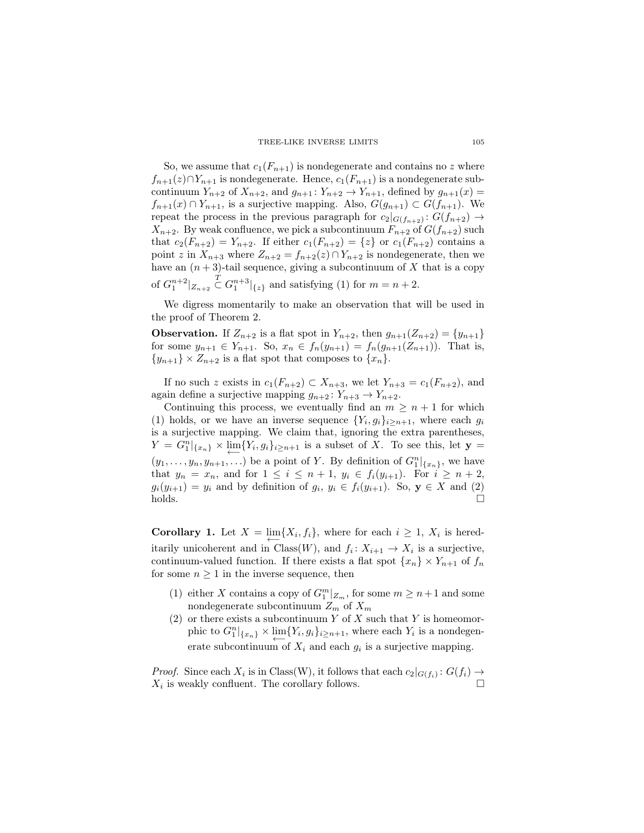TREE-LIKE INVERSE LIMITS 105

So, we assume that  $c_1(F_{n+1})$  is nondegenerate and contains no z where  $f_{n+1}(z) \cap Y_{n+1}$  is nondegenerate. Hence,  $c_1(F_{n+1})$  is a nondegenerate subcontinuum  $Y_{n+2}$  of  $X_{n+2}$ , and  $g_{n+1} : Y_{n+2} \to Y_{n+1}$ , defined by  $g_{n+1}(x) =$  $f_{n+1}(x) \cap Y_{n+1}$ , is a surjective mapping. Also,  $G(g_{n+1}) \subset G(f_{n+1})$ . We repeat the process in the previous paragraph for  $c_2|_{G(f_{n+2})}: G(f_{n+2}) \to$  $X_{n+2}$ . By weak confluence, we pick a subcontinuum  $F_{n+2}$  of  $G(f_{n+2})$  such that  $c_2(F_{n+2}) = Y_{n+2}$ . If either  $c_1(F_{n+2}) = \{z\}$  or  $c_1(F_{n+2})$  contains a point z in  $X_{n+3}$  where  $Z_{n+2} = f_{n+2}(z) \cap Y_{n+2}$  is nondegenerate, then we have an  $(n+3)$ -tail sequence, giving a subcontinuum of X that is a copy of  $G_1^{n+2}|_{Z_{n+2}} \n\subset G_1^{n+3}|_{\{z\}}$  and satisfying (1) for  $m = n+2$ .

We digress momentarily to make an observation that will be used in the proof of Theorem 2.

**Observation.** If  $Z_{n+2}$  is a flat spot in  $Y_{n+2}$ , then  $g_{n+1}(Z_{n+2}) = \{y_{n+1}\}\$ for some  $y_{n+1} \in Y_{n+1}$ . So,  $x_n \in f_n(y_{n+1}) = f_n(g_{n+1}(Z_{n+1}))$ . That is,  $\{y_{n+1}\}\times Z_{n+2}$  is a flat spot that composes to  $\{x_n\}.$ 

If no such z exists in  $c_1(F_{n+2}) \subset X_{n+3}$ , we let  $Y_{n+3} = c_1(F_{n+2})$ , and again define a surjective mapping  $g_{n+2} : Y_{n+3} \to Y_{n+2}$ .

Continuing this process, we eventually find an  $m \geq n+1$  for which (1) holds, or we have an inverse sequence  $\{Y_i, g_i\}_{i \geq n+1}$ , where each  $g_i$ is a surjective mapping. We claim that, ignoring the extra parentheses,  $Y = G_1^n|_{\{x_n\}} \times \varprojlim \{Y_i, g_i\}_{i \geq n+1}$  is a subset of X. To see this, let  $\mathbf{y} =$  $(y_1, \ldots, y_n, y_{n+1}, \ldots)$  be a point of Y. By definition of  $G_1^n|_{\{x_n\}}$ , we have that  $y_n = x_n$ , and for  $1 \le i \le n+1$ ,  $y_i \in f_i(y_{i+1})$ . For  $i \ge n+2$ ,  $g_i(y_{i+1}) = y_i$  and by definition of  $g_i, y_i \in f_i(y_{i+1})$ . So,  $\mathbf{y} \in X$  and (2) holds.

**Corollary 1.** Let  $X = \lim_{n \to \infty} \{X_i, f_i\}$ , where for each  $i \geq 1$ ,  $X_i$  is hereditarily unicoherent and in Class(W), and  $f_i: X_{i+1} \to X_i$  is a surjective, continuum-valued function. If there exists a flat spot  $\{x_n\} \times Y_{n+1}$  of  $f_n$ for some  $n \geq 1$  in the inverse sequence, then

- (1) either X contains a copy of  $G_1^m|_{Z_m}$ , for some  $m \geq n+1$  and some nondegenerate subcontinuum  $Z_m$  of  $X_m$
- (2) or there exists a subcontinuum Y of X such that Y is homeomorphic to  $G_1^n|_{\{x_n\}} \times \lim_{\longleftarrow} \{Y_i, g_i\}_{i \geq n+1}$ , where each  $Y_i$  is a nondegenerate subcontinuum of  $X_i$  and each  $g_i$  is a surjective mapping.

*Proof.* Since each  $X_i$  is in Class(W), it follows that each  $c_2|_{G(f_i)}: G(f_i) \to$  $X_i$  is weakly confluent. The corollary follows.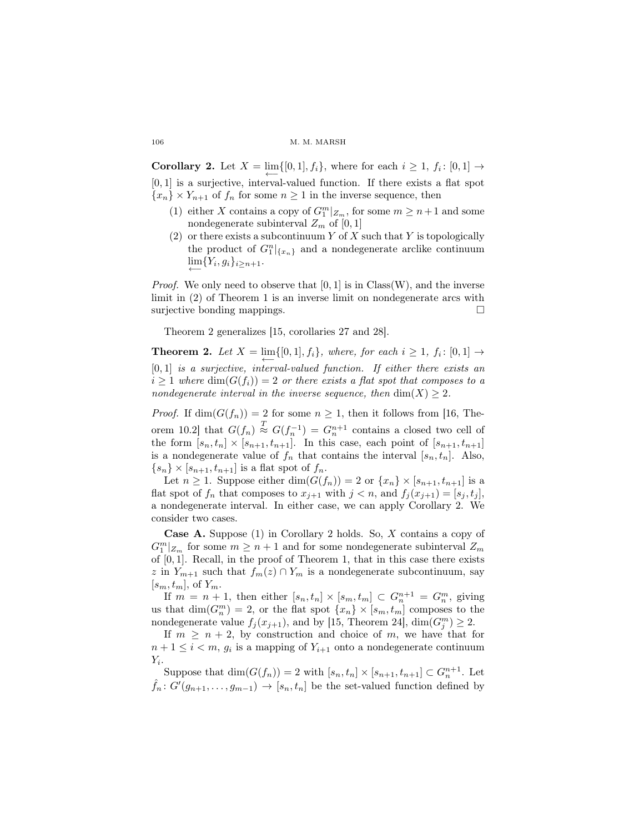**Corollary 2.** Let  $X = \lim_{n \to \infty} \{ [0, 1], f_i \}$ , where for each  $i \geq 1$ ,  $f_i : [0, 1] \to$ [0, 1] is a surjective, interval-valued function. If there exists a flat spot  ${x_n} \times Y_{n+1}$  of  $f_n$  for some  $n \geq 1$  in the inverse sequence, then

- (1) either X contains a copy of  $G_1^m|_{Z_m}$ , for some  $m \geq n+1$  and some nondegenerate subinterval  $Z_m$  of [0, 1]
- (2) or there exists a subcontinuum Y of X such that Y is topologically the product of  $G_1^n|_{\{x_n\}}$  and a nondegenerate arclike continuum  $\lim_{n \to \infty} \{Y_i, g_i\}_{i \geq n+1}.$

*Proof.* We only need to observe that  $[0, 1]$  is in Class(W), and the inverse limit in (2) of Theorem 1 is an inverse limit on nondegenerate arcs with surjective bonding mappings.

Theorem 2 generalizes [15, corollaries 27 and 28].

**Theorem 2.** Let  $X = \lim_{n \to \infty} \{ [0, 1], f_i \}$ , where, for each  $i \geq 1$ ,  $f_i : [0, 1] \rightarrow$  $[0, 1]$  is a surjective, interval-valued function. If either there exists an  $i \geq 1$  where  $\dim(G(f_i)) = 2$  or there exists a flat spot that composes to a nondegenerate interval in the inverse sequence, then  $\dim(X) \geq 2$ .

*Proof.* If  $\dim(G(f_n)) = 2$  for some  $n \geq 1$ , then it follows from [16, Theorem 10.2 that  $G(f_n) \stackrel{T}{\approx} G(f_n^{-1}) = G_n^{n+1}$  contains a closed two cell of the form  $[s_n, t_n] \times [s_{n+1}, t_{n+1}]$ . In this case, each point of  $[s_{n+1}, t_{n+1}]$ is a nondegenerate value of  $f_n$  that contains the interval  $[s_n, t_n]$ . Also,  ${s_n} \times [s_{n+1}, t_{n+1}]$  is a flat spot of  $f_n$ .

Let  $n \geq 1$ . Suppose either  $\dim(G(f_n)) = 2$  or  $\{x_n\} \times [s_{n+1}, t_{n+1}]$  is a flat spot of  $f_n$  that composes to  $x_{i+1}$  with  $j < n$ , and  $f_i(x_{i+1}) = [s_i, t_i]$ , a nondegenerate interval. In either case, we can apply Corollary 2. We consider two cases.

Case A. Suppose (1) in Corollary 2 holds. So, X contains a copy of  $G^m_1|_{Z_m}$  for some  $m\geq n+1$  and for some nondegenerate subinterval  $Z_m$ of [0, 1]. Recall, in the proof of Theorem 1, that in this case there exists z in  $Y_{m+1}$  such that  $f_m(z) \cap Y_m$  is a nondegenerate subcontinuum, say  $[s_m, t_m]$ , of  $Y_m$ .

If  $m = n + 1$ , then either  $[s_n, t_n] \times [s_m, t_m] \subset G_n^{n+1} = G_n^m$ , giving us that  $\dim(G_m^m) = 2$ , or the flat spot  $\{x_n\} \times [s_m, t_m]$  composes to the nondegenerate value  $f_j(x_{j+1})$ , and by [15, Theorem 24],  $\dim(G_j^m) \geq 2$ .

If  $m \geq n+2$ , by construction and choice of m, we have that for  $n+1 \leq i < m$ ,  $g_i$  is a mapping of  $Y_{i+1}$  onto a nondegenerate continuum  $Y_i.$ 

Suppose that  $\dim(G(f_n)) = 2$  with  $[s_n, t_n] \times [s_{n+1}, t_{n+1}] \subset G_n^{n+1}$ . Let  $\hat{f}_n: G'(g_{n+1}, \ldots, g_{m-1}) \to [s_n, t_n]$  be the set-valued function defined by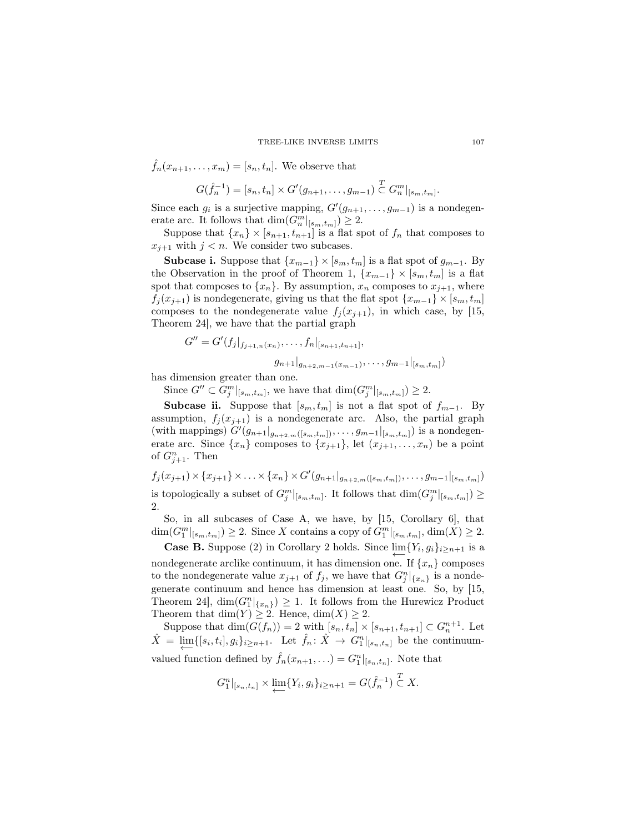$$
\hat{f}_n(x_{n+1},\ldots,x_m) = [s_n,t_n].
$$
 We observe that

$$
G(\hat{f}_n^{-1}) = [s_n, t_n] \times G'(g_{n+1}, \ldots, g_{m-1}) \subseteq G_n^m|_{[s_m, t_m]}.
$$

Since each  $g_i$  is a surjective mapping,  $G'(g_{n+1}, \ldots, g_{m-1})$  is a nondegenerate arc. It follows that  $\dim(G_n^m|_{[s_m,t_m]}) \geq 2$ .

Suppose that  $\{x_n\} \times [s_{n+1}, t_{n+1}]$  is a flat spot of  $f_n$  that composes to  $x_{j+1}$  with  $j < n$ . We consider two subcases.

**Subcase i.** Suppose that  $\{x_{m-1}\}\times [s_m, t_m]$  is a flat spot of  $g_{m-1}$ . By the Observation in the proof of Theorem 1,  $\{x_{m-1}\}\times [s_m, t_m]$  is a flat spot that composes to  $\{x_n\}$ . By assumption,  $x_n$  composes to  $x_{j+1}$ , where  $f_j(x_{j+1})$  is nondegenerate, giving us that the flat spot  $\{x_{m-1}\}\times[s_m,t_m]$ composes to the nondegenerate value  $f_j(x_{j+1})$ , in which case, by [15, Theorem 24], we have that the partial graph

$$
G'' = G'(f_j|_{f_{j+1,n}(x_n)}, \ldots, f_n|_{[s_{n+1}, t_{n+1}]},
$$
  

$$
g_{n+1}|_{g_{n+2,m-1}(x_{m-1})}, \ldots, g_{m-1}|_{[s_m, t_m]})
$$

has dimension greater than one.

Since  $G'' \subset G_j^m|_{[s_m,t_m]}$ , we have that  $\dim(G_j^m|_{[s_m,t_m]}) \geq 2$ .

Subcase ii. Suppose that  $[s_m, t_m]$  is not a flat spot of  $f_{m-1}$ . By assumption,  $f_j(x_{j+1})$  is a nondegenerate arc. Also, the partial graph (with mappings)  $G'(g_{n+1}|_{g_{n+2,m}([s_m,t_m])},\ldots,g_{m-1}|_{[s_m,t_m]})$  is a nondegenerate arc. Since  $\{x_n\}$  composes to  $\{x_{j+1}\}\text{, let } (x_{j+1}, \ldots, x_n)$  be a point of  $G_{j+1}^n$ . Then

$$
f_j(x_{j+1}) \times \{x_{j+1}\} \times \ldots \times \{x_n\} \times G'(g_{n+1}|_{g_{n+2,m}([s_m,t_m])}, \ldots, g_{m-1}|_{[s_m,t_m]})
$$
 is topologically a subset of  $G_j^m|_{[s_m,t_m]}$ . It follows that  $\dim(G_j^m|_{[s_m,t_m]}) \geq 2$ .

So, in all subcases of Case A, we have, by [15, Corollary 6], that  $\dim(G_1^m|_{[s_m,t_m]}) \geq 2$ . Since X contains a copy of  $G_1^m|_{[s_m,t_m]}$ ,  $\dim(X) \geq 2$ .

**Case B.** Suppose (2) in Corollary 2 holds. Since  $\lim_{n \to \infty} \{Y_i, g_i\}_{i \geq n+1}$  is a nondegenerate arclike continuum, it has dimension one. If  $\{x_n\}$  composes to the nondegenerate value  $x_{j+1}$  of  $f_j$ , we have that  $G_j^n|_{\{x_n\}}$  is a nondegenerate continuum and hence has dimension at least one. So, by [15, Theorem 24,  $\dim(G_1^n|_{\{x_n\}}) \geq 1$ . It follows from the Hurewicz Product Theorem that  $\dim(Y) \geq 2$ . Hence,  $\dim(X) \geq 2$ .

Suppose that  $\dim(G(f_n)) = 2$  with  $[s_n, t_n] \times [s_{n+1}, t_{n+1}] \subset G_n^{n+1}$ . Let  $\hat{X} = \lim_{n \to \infty} \{ [s_i, t_i], g_i \}_{i \geq n+1}$ . Let  $\hat{f}_n \colon \hat{X} \to G_1^n |_{[s_n, t_n]}$  be the continuumvalued function defined by  $\hat{f}_n(x_{n+1}, \ldots) = G_1^n|_{[s_n, t_n]}$ . Note that

$$
G_1^n|_{[s_n,t_n]} \times \varprojlim \{ Y_i, g_i \}_{i \ge n+1} = G(\hat{f}_n^{-1}) \subset X.
$$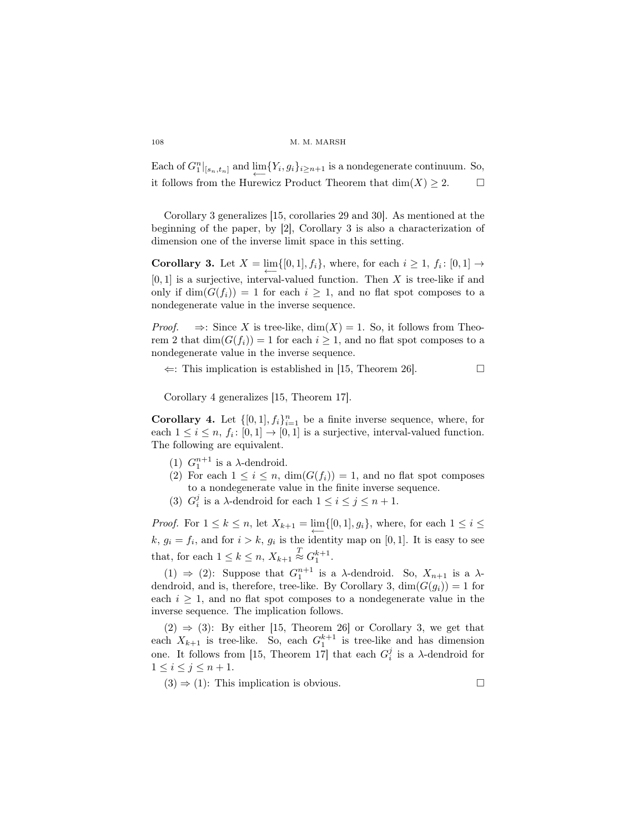Each of  $G_1^n|_{[s_n,t_n]}$  and  $\varprojlim \{Y_i, g_i\}_{i \geq n+1}$  is a nondegenerate continuum. So, it follows from the Hurewicz Product Theorem that  $dim(X) \geq 2$ .  $\Box$ 

Corollary 3 generalizes [15, corollaries 29 and 30]. As mentioned at the beginning of the paper, by [2], Corollary 3 is also a characterization of dimension one of the inverse limit space in this setting.

**Corollary 3.** Let  $X = \lim_{n \to \infty} \{ [0, 1], f_i \}$ , where, for each  $i \geq 1$ ,  $f_i : [0, 1] \rightarrow$  $[0, 1]$  is a surjective, interval-valued function. Then X is tree-like if and only if  $\dim(G(f_i)) = 1$  for each  $i \geq 1$ , and no flat spot composes to a nondegenerate value in the inverse sequence.

*Proof.*  $\Rightarrow$ : Since X is tree-like, dim(X) = 1. So, it follows from Theorem 2 that  $\dim(G(f_i)) = 1$  for each  $i \geq 1$ , and no flat spot composes to a nondegenerate value in the inverse sequence.

 $\Leftarrow$ : This implication is established in [15, Theorem 26].

Corollary 4 generalizes [15, Theorem 17].

**Corollary 4.** Let  $\{[0,1], f_i\}_{i=1}^n$  be a finite inverse sequence, where, for each  $1 \leq i \leq n$ ,  $f_i: [0,1] \to [0,1]$  is a surjective, interval-valued function. The following are equivalent.

- (1)  $G_1^{n+1}$  is a  $\lambda$ -dendroid.
- (2) For each  $1 \leq i \leq n$ ,  $\dim(G(f_i)) = 1$ , and no flat spot composes to a nondegenerate value in the finite inverse sequence.
- (3)  $G_i^j$  is a  $\lambda$ -dendroid for each  $1 \le i \le j \le n+1$ .

*Proof.* For  $1 \leq k \leq n$ , let  $X_{k+1} = \lim_{n \to \infty} \{ [0, 1], g_i \}$ , where, for each  $1 \leq i \leq$  $k, g_i = f_i$ , and for  $i > k, g_i$  is the identity map on [0, 1]. It is easy to see that, for each  $1 \leq k \leq n$ ,  $X_{k+1} \stackrel{T}{\approx} G_1^{k+1}$ .

(1)  $\Rightarrow$  (2): Suppose that  $G_1^{n+1}$  is a  $\lambda$ -dendroid. So,  $X_{n+1}$  is a  $\lambda$ dendroid, and is, therefore, tree-like. By Corollary 3,  $\dim(G(q_i)) = 1$  for each  $i \geq 1$ , and no flat spot composes to a nondegenerate value in the inverse sequence. The implication follows.

 $(2) \Rightarrow (3)$ : By either [15, Theorem 26] or Corollary 3, we get that each  $X_{k+1}$  is tree-like. So, each  $G_1^{k+1}$  is tree-like and has dimension one. It follows from [15, Theorem 17] that each  $G_i^j$  is a  $\lambda$ -dendroid for  $1\leq i\leq j\leq n+1$ .

 $(3) \Rightarrow (1)$ : This implication is obvious.